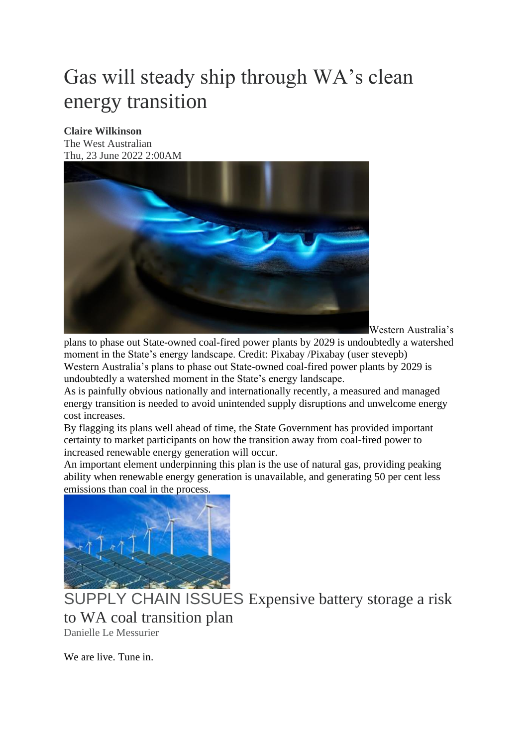## Gas will steady ship through WA's clean energy transition

## **Claire Wilkinson**

The West Australian Thu, 23 June 2022 2:00AM



Western Australia's

plans to phase out State-owned coal-fired power plants by 2029 is undoubtedly a watershed moment in the State's energy landscape. Credit: Pixabay /Pixabay (user stevepb) Western Australia's plans to phase out State-owned coal-fired power plants by 2029 is undoubtedly a watershed moment in the State's energy landscape.

As is painfully obvious nationally and internationally recently, a measured and managed energy transition is needed to avoid unintended supply disruptions and unwelcome energy cost increases.

By flagging its plans well ahead of time, the State Government has provided important certainty to market participants on how the transition away from coal-fired power to increased renewable energy generation will occur.

An important element underpinning this plan is the use of natural gas, providing peaking ability when renewable energy generation is unavailable, and generating 50 per cent less emissions than coal in the process.



SUPPLY CHAIN ISSUES [Expensive battery storage a risk](https://thewest.com.au/business/renewable-energy/expensive-battery-storage-a-risk-to-state-governments-coal-transition-plans--c-7173287)  [to WA coal transition plan](https://thewest.com.au/business/renewable-energy/expensive-battery-storage-a-risk-to-state-governments-coal-transition-plans--c-7173287) [Danielle Le Messurier](https://thewest.com.au/business/renewable-energy/expensive-battery-storage-a-risk-to-state-governments-coal-transition-plans--c-7173287)

We are live. Tune in.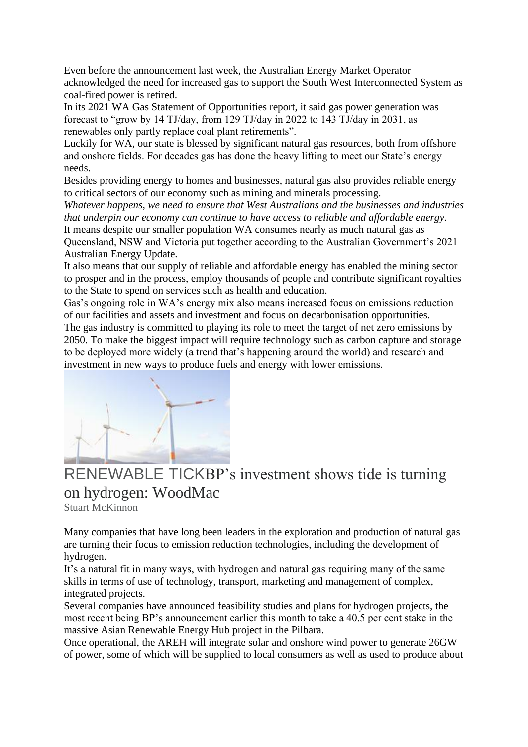Even before the announcement last week, the Australian Energy Market Operator acknowledged the need for increased gas to support the South West Interconnected System as coal-fired power is retired.

In its 2021 WA Gas Statement of Opportunities report, it said gas power generation was forecast to "grow by 14 TJ/day, from 129 TJ/day in 2022 to 143 TJ/day in 2031, as renewables only partly replace coal plant retirements".

Luckily for WA, our state is blessed by significant natural gas resources, both from offshore and onshore fields. For decades gas has done the heavy lifting to meet our State's energy needs.

Besides providing energy to homes and businesses, natural gas also provides reliable energy to critical sectors of our economy such as mining and minerals processing.

*Whatever happens, we need to ensure that West Australians and the businesses and industries that underpin our economy can continue to have access to reliable and affordable energy.* It means despite our smaller population WA consumes nearly as much natural gas as

Queensland, NSW and Victoria put together according to the Australian Government's 2021 Australian Energy Update.

It also means that our supply of reliable and affordable energy has enabled the mining sector to prosper and in the process, employ thousands of people and contribute significant royalties to the State to spend on services such as health and education.

Gas's ongoing role in WA's energy mix also means increased focus on emissions reduction of our facilities and assets and investment and focus on decarbonisation opportunities. The gas industry is committed to playing its role to meet the target of net zero emissions by

2050. To make the biggest impact will require technology such as carbon capture and storage to be deployed more widely (a trend that's happening around the world) and research and investment in new ways to produce fuels and energy with lower emissions.



## RENEWABLE TICK[BP's investment shows tide is turning](https://thewest.com.au/business/energy/bps-investment-shows-tide-is-turning-on-hydrogen-woodmac-c-7189053)  [on hydrogen: WoodMac](https://thewest.com.au/business/energy/bps-investment-shows-tide-is-turning-on-hydrogen-woodmac-c-7189053)

[Stuart McKinnon](https://thewest.com.au/business/energy/bps-investment-shows-tide-is-turning-on-hydrogen-woodmac-c-7189053)

Many companies that have long been leaders in the exploration and production of natural gas are turning their focus to emission reduction technologies, including the development of hydrogen.

It's a natural fit in many ways, with hydrogen and natural gas requiring many of the same skills in terms of use of technology, transport, marketing and management of complex, integrated projects.

Several companies have announced feasibility studies and plans for hydrogen projects, the most recent being BP's announcement earlier this month to take a 40.5 per cent stake in the massive Asian Renewable Energy Hub project in the Pilbara.

Once operational, the AREH will integrate solar and onshore wind power to generate 26GW of power, some of which will be supplied to local consumers as well as used to produce about